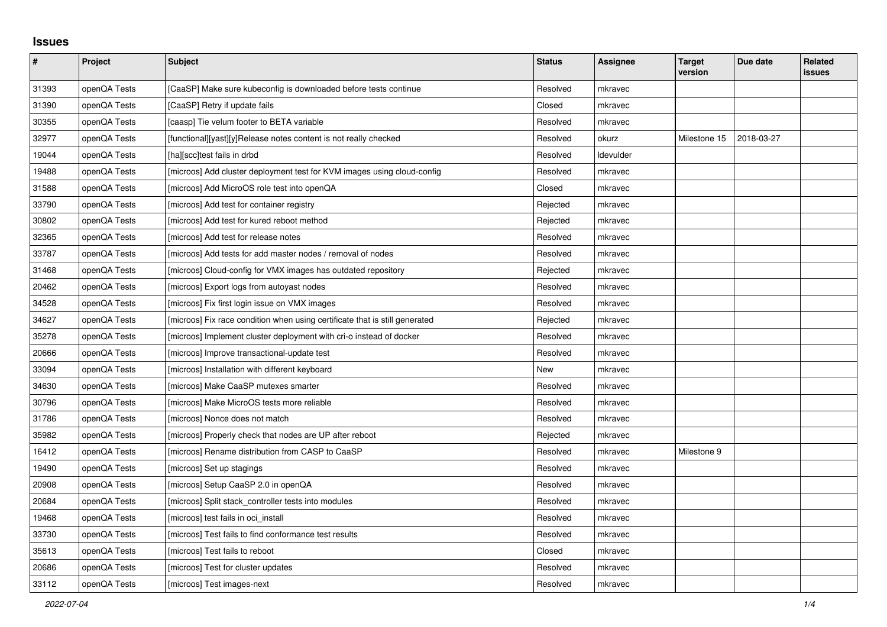## **Issues**

| $\sharp$ | Project      | <b>Subject</b>                                                              | <b>Status</b> | Assignee  | <b>Target</b><br>version | Due date   | Related<br>issues |
|----------|--------------|-----------------------------------------------------------------------------|---------------|-----------|--------------------------|------------|-------------------|
| 31393    | openQA Tests | [CaaSP] Make sure kubeconfig is downloaded before tests continue            | Resolved      | mkravec   |                          |            |                   |
| 31390    | openQA Tests | [CaaSP] Retry if update fails                                               | Closed        | mkravec   |                          |            |                   |
| 30355    | openQA Tests | [caasp] Tie velum footer to BETA variable                                   | Resolved      | mkravec   |                          |            |                   |
| 32977    | openQA Tests | [functional][yast][y]Release notes content is not really checked            | Resolved      | okurz     | Milestone 15             | 2018-03-27 |                   |
| 19044    | openQA Tests | [ha][scc]test fails in drbd                                                 | Resolved      | Idevulder |                          |            |                   |
| 19488    | openQA Tests | [microos] Add cluster deployment test for KVM images using cloud-config     | Resolved      | mkravec   |                          |            |                   |
| 31588    | openQA Tests | [microos] Add MicroOS role test into openQA                                 | Closed        | mkravec   |                          |            |                   |
| 33790    | openQA Tests | [microos] Add test for container registry                                   | Rejected      | mkravec   |                          |            |                   |
| 30802    | openQA Tests | [microos] Add test for kured reboot method                                  | Rejected      | mkravec   |                          |            |                   |
| 32365    | openQA Tests | [microos] Add test for release notes                                        | Resolved      | mkravec   |                          |            |                   |
| 33787    | openQA Tests | [microos] Add tests for add master nodes / removal of nodes                 | Resolved      | mkravec   |                          |            |                   |
| 31468    | openQA Tests | [microos] Cloud-config for VMX images has outdated repository               | Rejected      | mkravec   |                          |            |                   |
| 20462    | openQA Tests | [microos] Export logs from autoyast nodes                                   | Resolved      | mkravec   |                          |            |                   |
| 34528    | openQA Tests | [microos] Fix first login issue on VMX images                               | Resolved      | mkravec   |                          |            |                   |
| 34627    | openQA Tests | [microos] Fix race condition when using certificate that is still generated | Rejected      | mkravec   |                          |            |                   |
| 35278    | openQA Tests | [microos] Implement cluster deployment with cri-o instead of docker         | Resolved      | mkravec   |                          |            |                   |
| 20666    | openQA Tests | [microos] Improve transactional-update test                                 | Resolved      | mkravec   |                          |            |                   |
| 33094    | openQA Tests | [microos] Installation with different keyboard                              | New           | mkravec   |                          |            |                   |
| 34630    | openQA Tests | [microos] Make CaaSP mutexes smarter                                        | Resolved      | mkravec   |                          |            |                   |
| 30796    | openQA Tests | [microos] Make MicroOS tests more reliable                                  | Resolved      | mkravec   |                          |            |                   |
| 31786    | openQA Tests | [microos] Nonce does not match                                              | Resolved      | mkravec   |                          |            |                   |
| 35982    | openQA Tests | [microos] Properly check that nodes are UP after reboot                     | Rejected      | mkravec   |                          |            |                   |
| 16412    | openQA Tests | [microos] Rename distribution from CASP to CaaSP                            | Resolved      | mkravec   | Milestone 9              |            |                   |
| 19490    | openQA Tests | [microos] Set up stagings                                                   | Resolved      | mkravec   |                          |            |                   |
| 20908    | openQA Tests | [microos] Setup CaaSP 2.0 in openQA                                         | Resolved      | mkravec   |                          |            |                   |
| 20684    | openQA Tests | [microos] Split stack_controller tests into modules                         | Resolved      | mkravec   |                          |            |                   |
| 19468    | openQA Tests | [microos] test fails in oci_install                                         | Resolved      | mkravec   |                          |            |                   |
| 33730    | openQA Tests | [microos] Test fails to find conformance test results                       | Resolved      | mkravec   |                          |            |                   |
| 35613    | openQA Tests | [microos] Test fails to reboot                                              | Closed        | mkravec   |                          |            |                   |
| 20686    | openQA Tests | [microos] Test for cluster updates                                          | Resolved      | mkravec   |                          |            |                   |
| 33112    | openQA Tests | [microos] Test images-next                                                  | Resolved      | mkravec   |                          |            |                   |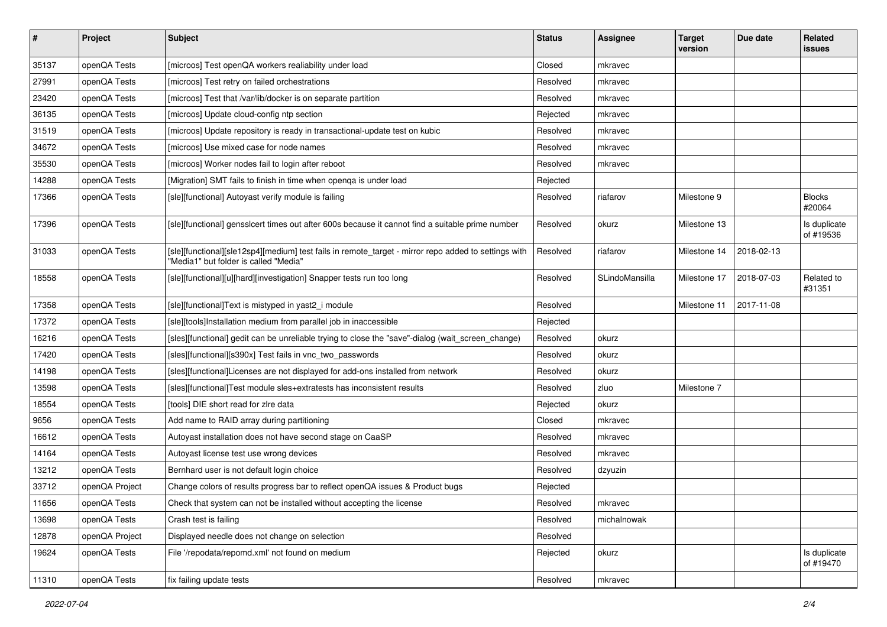| $\pmb{\#}$ | Project        | <b>Subject</b>                                                                                                                                | <b>Status</b> | <b>Assignee</b> | <b>Target</b><br>version | Due date   | Related<br>issues         |
|------------|----------------|-----------------------------------------------------------------------------------------------------------------------------------------------|---------------|-----------------|--------------------------|------------|---------------------------|
| 35137      | openQA Tests   | [microos] Test openQA workers realiability under load                                                                                         | Closed        | mkravec         |                          |            |                           |
| 27991      | openQA Tests   | [microos] Test retry on failed orchestrations                                                                                                 | Resolved      | mkravec         |                          |            |                           |
| 23420      | openQA Tests   | [microos] Test that /var/lib/docker is on separate partition                                                                                  | Resolved      | mkravec         |                          |            |                           |
| 36135      | openQA Tests   | [microos] Update cloud-config ntp section                                                                                                     | Rejected      | mkravec         |                          |            |                           |
| 31519      | openQA Tests   | [microos] Update repository is ready in transactional-update test on kubic                                                                    | Resolved      | mkravec         |                          |            |                           |
| 34672      | openQA Tests   | [microos] Use mixed case for node names                                                                                                       | Resolved      | mkravec         |                          |            |                           |
| 35530      | openQA Tests   | [microos] Worker nodes fail to login after reboot                                                                                             | Resolved      | mkravec         |                          |            |                           |
| 14288      | openQA Tests   | [Migration] SMT fails to finish in time when openqa is under load                                                                             | Rejected      |                 |                          |            |                           |
| 17366      | openQA Tests   | [sle][functional] Autoyast verify module is failing                                                                                           | Resolved      | riafarov        | Milestone 9              |            | <b>Blocks</b><br>#20064   |
| 17396      | openQA Tests   | [sle][functional] gensslcert times out after 600s because it cannot find a suitable prime number                                              | Resolved      | okurz           | Milestone 13             |            | Is duplicate<br>of #19536 |
| 31033      | openQA Tests   | [sle][functional][sle12sp4][medium] test fails in remote_target - mirror repo added to settings with<br>'Media1" but folder is called "Media" | Resolved      | riafarov        | Milestone 14             | 2018-02-13 |                           |
| 18558      | openQA Tests   | [sle][functional][u][hard][investigation] Snapper tests run too long                                                                          | Resolved      | SLindoMansilla  | Milestone 17             | 2018-07-03 | Related to<br>#31351      |
| 17358      | openQA Tests   | [sle][functional]Text is mistyped in yast2_i module                                                                                           | Resolved      |                 | Milestone 11             | 2017-11-08 |                           |
| 17372      | openQA Tests   | [sle][tools]Installation medium from parallel job in inaccessible                                                                             | Rejected      |                 |                          |            |                           |
| 16216      | openQA Tests   | [sles][functional] gedit can be unreliable trying to close the "save"-dialog (wait_screen_change)                                             | Resolved      | okurz           |                          |            |                           |
| 17420      | openQA Tests   | [sles][functional][s390x] Test fails in vnc_two_passwords                                                                                     | Resolved      | okurz           |                          |            |                           |
| 14198      | openQA Tests   | [sles][functional]Licenses are not displayed for add-ons installed from network                                                               | Resolved      | okurz           |                          |            |                           |
| 13598      | openQA Tests   | [sles][functional]Test module sles+extratests has inconsistent results                                                                        | Resolved      | zluo            | Milestone 7              |            |                           |
| 18554      | openQA Tests   | [tools] DIE short read for zire data                                                                                                          | Rejected      | okurz           |                          |            |                           |
| 9656       | openQA Tests   | Add name to RAID array during partitioning                                                                                                    | Closed        | mkravec         |                          |            |                           |
| 16612      | openQA Tests   | Autoyast installation does not have second stage on CaaSP                                                                                     | Resolved      | mkravec         |                          |            |                           |
| 14164      | openQA Tests   | Autoyast license test use wrong devices                                                                                                       | Resolved      | mkravec         |                          |            |                           |
| 13212      | openQA Tests   | Bernhard user is not default login choice                                                                                                     | Resolved      | dzyuzin         |                          |            |                           |
| 33712      | openQA Project | Change colors of results progress bar to reflect openQA issues & Product bugs                                                                 | Rejected      |                 |                          |            |                           |
| 11656      | openQA Tests   | Check that system can not be installed without accepting the license                                                                          | Resolved      | mkravec         |                          |            |                           |
| 13698      | openQA Tests   | Crash test is failing                                                                                                                         | Resolved      | michalnowak     |                          |            |                           |
| 12878      | openQA Project | Displayed needle does not change on selection                                                                                                 | Resolved      |                 |                          |            |                           |
| 19624      | openQA Tests   | File '/repodata/repomd.xml' not found on medium                                                                                               | Rejected      | okurz           |                          |            | Is duplicate<br>of #19470 |
| 11310      | openQA Tests   | fix failing update tests                                                                                                                      | Resolved      | mkravec         |                          |            |                           |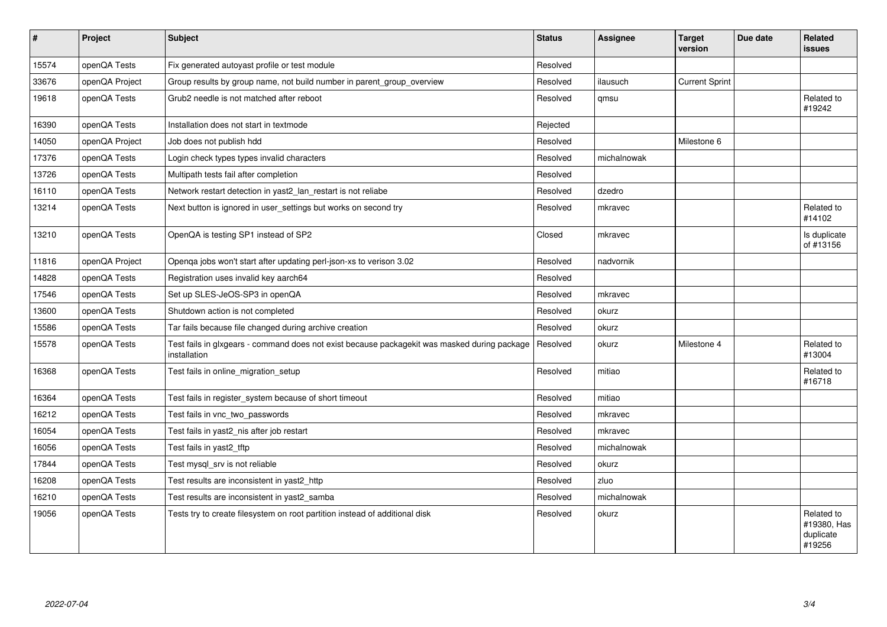| $\sharp$ | Project        | Subject                                                                                                      | <b>Status</b> | Assignee    | <b>Target</b><br>version | Due date | <b>Related</b><br>issues                         |
|----------|----------------|--------------------------------------------------------------------------------------------------------------|---------------|-------------|--------------------------|----------|--------------------------------------------------|
| 15574    | openQA Tests   | Fix generated autoyast profile or test module                                                                | Resolved      |             |                          |          |                                                  |
| 33676    | openQA Project | Group results by group name, not build number in parent_group_overview                                       | Resolved      | ilausuch    | <b>Current Sprint</b>    |          |                                                  |
| 19618    | openQA Tests   | Grub <sub>2</sub> needle is not matched after reboot                                                         | Resolved      | qmsu        |                          |          | Related to<br>#19242                             |
| 16390    | openQA Tests   | Installation does not start in textmode                                                                      | Rejected      |             |                          |          |                                                  |
| 14050    | openQA Project | Job does not publish hdd                                                                                     | Resolved      |             | Milestone 6              |          |                                                  |
| 17376    | openQA Tests   | Login check types types invalid characters                                                                   | Resolved      | michalnowak |                          |          |                                                  |
| 13726    | openQA Tests   | Multipath tests fail after completion                                                                        | Resolved      |             |                          |          |                                                  |
| 16110    | openQA Tests   | Network restart detection in yast2_lan_restart is not reliabe                                                | Resolved      | dzedro      |                          |          |                                                  |
| 13214    | openQA Tests   | Next button is ignored in user_settings but works on second try                                              | Resolved      | mkravec     |                          |          | Related to<br>#14102                             |
| 13210    | openQA Tests   | OpenQA is testing SP1 instead of SP2                                                                         | Closed        | mkravec     |                          |          | Is duplicate<br>of #13156                        |
| 11816    | openQA Project | Openqa jobs won't start after updating perl-json-xs to verison 3.02                                          | Resolved      | nadvornik   |                          |          |                                                  |
| 14828    | openQA Tests   | Registration uses invalid key aarch64                                                                        | Resolved      |             |                          |          |                                                  |
| 17546    | openQA Tests   | Set up SLES-JeOS-SP3 in openQA                                                                               | Resolved      | mkravec     |                          |          |                                                  |
| 13600    | openQA Tests   | Shutdown action is not completed                                                                             | Resolved      | okurz       |                          |          |                                                  |
| 15586    | openQA Tests   | Tar fails because file changed during archive creation                                                       | Resolved      | okurz       |                          |          |                                                  |
| 15578    | openQA Tests   | Test fails in glxgears - command does not exist because packagekit was masked during package<br>installation | Resolved      | okurz       | Milestone 4              |          | Related to<br>#13004                             |
| 16368    | openQA Tests   | Test fails in online migration setup                                                                         | Resolved      | mitiao      |                          |          | Related to<br>#16718                             |
| 16364    | openQA Tests   | Test fails in register system because of short timeout                                                       | Resolved      | mitiao      |                          |          |                                                  |
| 16212    | openQA Tests   | Test fails in vnc_two_passwords                                                                              | Resolved      | mkravec     |                          |          |                                                  |
| 16054    | openQA Tests   | Test fails in yast2_nis after job restart                                                                    | Resolved      | mkravec     |                          |          |                                                  |
| 16056    | openQA Tests   | Test fails in yast2 tftp                                                                                     | Resolved      | michalnowak |                          |          |                                                  |
| 17844    | openQA Tests   | Test mysql_srv is not reliable                                                                               | Resolved      | okurz       |                          |          |                                                  |
| 16208    | openQA Tests   | Test results are inconsistent in yast2 http                                                                  | Resolved      | zluo        |                          |          |                                                  |
| 16210    | openQA Tests   | Test results are inconsistent in yast2_samba                                                                 | Resolved      | michalnowak |                          |          |                                                  |
| 19056    | openQA Tests   | Tests try to create filesystem on root partition instead of additional disk                                  | Resolved      | okurz       |                          |          | Related to<br>#19380, Has<br>duplicate<br>#19256 |